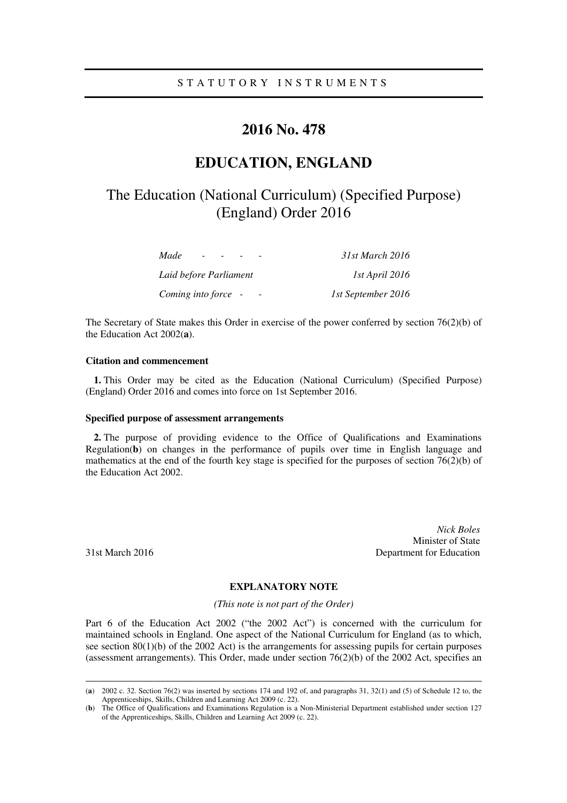### S T A T U T O R Y I N S T R U M E N T S

## **2016 No. 478**

# **EDUCATION, ENGLAND**

# The Education (National Curriculum) (Specified Purpose) (England) Order 2016

| Made<br>$\overline{\phantom{0}}$ | 31st March 2016    |
|----------------------------------|--------------------|
| Laid before Parliament           | 1st April 2016     |
| Coming into force -              | 1st September 2016 |

The Secretary of State makes this Order in exercise of the power conferred by section 76(2)(b) of the Education Act 2002(**a**).

### **Citation and commencement**

**1.** This Order may be cited as the Education (National Curriculum) (Specified Purpose) (England) Order 2016 and comes into force on 1st September 2016.

#### **Specified purpose of assessment arrangements**

**2.** The purpose of providing evidence to the Office of Qualifications and Examinations Regulation(**b**) on changes in the performance of pupils over time in English language and mathematics at the end of the fourth key stage is specified for the purposes of section 76(2)(b) of the Education Act 2002.

<u>.</u>

*Nick Boles*  Minister of State 31st March 2016 Department for Education

### **EXPLANATORY NOTE**

*(This note is not part of the Order)* 

Part 6 of the Education Act 2002 ("the 2002 Act") is concerned with the curriculum for maintained schools in England. One aspect of the National Curriculum for England (as to which, see section  $80(1)(b)$  of the 2002 Act) is the arrangements for assessing pupils for certain purposes (assessment arrangements). This Order, made under section 76(2)(b) of the 2002 Act, specifies an

<sup>(</sup>**a**) 2002 c. 32. Section 76(2) was inserted by sections 174 and 192 of, and paragraphs 31, 32(1) and (5) of Schedule 12 to, the Apprenticeships, Skills, Children and Learning Act 2009 (c. 22).

<sup>(</sup>**b**) The Office of Qualifications and Examinations Regulation is a Non-Ministerial Department established under section 127 of the Apprenticeships, Skills, Children and Learning Act 2009 (c. 22).